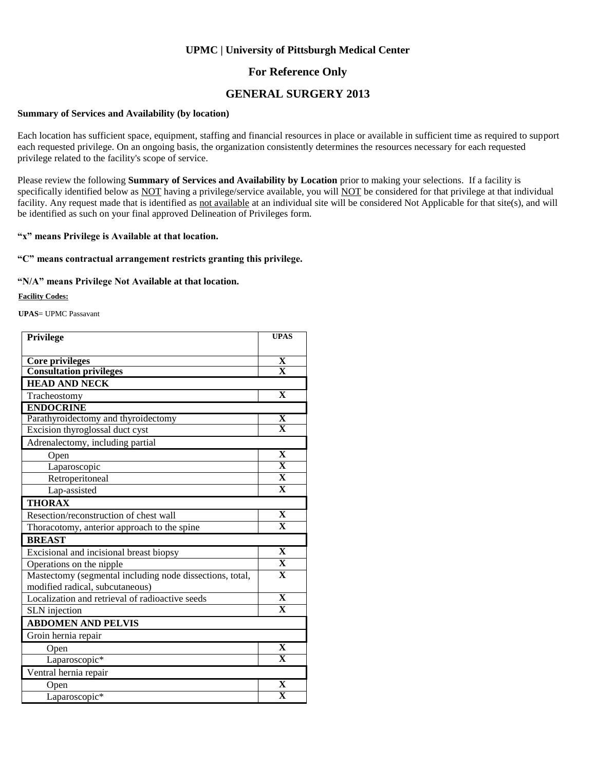### **For Reference Only**

### **GENERAL SURGERY 2013**

#### **Summary of Services and Availability (by location)**

Each location has sufficient space, equipment, staffing and financial resources in place or available in sufficient time as required to support each requested privilege. On an ongoing basis, the organization consistently determines the resources necessary for each requested privilege related to the facility's scope of service.

Please review the following **Summary of Services and Availability by Location** prior to making your selections. If a facility is specifically identified below as NOT having a privilege/service available, you will NOT be considered for that privilege at that individual facility. Any request made that is identified as not available at an individual site will be considered Not Applicable for that site(s), and will be identified as such on your final approved Delineation of Privileges form.

### **"x" means Privilege is Available at that location.**

### **"C" means contractual arrangement restricts granting this privilege.**

### **"N/A" means Privilege Not Available at that location.**

**Facility Codes:**

**UPAS**= UPMC Passavant

| <b>Privilege</b>                                         | <b>UPAS</b>                                           |
|----------------------------------------------------------|-------------------------------------------------------|
|                                                          |                                                       |
| <b>Core privileges</b>                                   | $\frac{\overline{\mathbf{X}}}{\overline{\mathbf{X}}}$ |
| <b>Consultation privileges</b>                           |                                                       |
| <b>HEAD AND NECK</b>                                     |                                                       |
| Tracheostomy                                             | $\overline{\mathbf{X}}$                               |
| <b>ENDOCRINE</b>                                         |                                                       |
| Parathyroidectomy and thyroidectomy                      | $\frac{\overline{\mathbf{X}}}{\mathbf{X}}$            |
| Excision thyroglossal duct cyst                          |                                                       |
| Adrenalectomy, including partial                         |                                                       |
| Open                                                     | $\overline{\mathbf{X}}$                               |
| Laparoscopic                                             | $\overline{\mathbf{X}}$                               |
| Retroperitoneal                                          | $\overline{\mathbf{X}}$                               |
| Lap-assisted                                             | $\overline{\mathbf{X}}$                               |
| <b>THORAX</b>                                            |                                                       |
| Resection/reconstruction of chest wall                   | $\overline{\mathbf{X}}$                               |
| Thoracotomy, anterior approach to the spine              | $\overline{\mathbf{X}}$                               |
| <b>BREAST</b>                                            |                                                       |
| Excisional and incisional breast biopsy                  | $\mathbf{X}$                                          |
| Operations on the nipple                                 | $\overline{\mathbf{X}}$                               |
| Mastectomy (segmental including node dissections, total, | $\mathbf X$                                           |
| modified radical, subcutaneous)                          |                                                       |
| Localization and retrieval of radioactive seeds          | $\overline{\mathbf{X}}$                               |
| SLN injection                                            | $\overline{\mathbf{X}}$                               |
| <b>ABDOMEN AND PELVIS</b>                                |                                                       |
| Groin hernia repair                                      |                                                       |
| Open                                                     | $\overline{\mathbf{X}}$                               |
| Laparoscopic*                                            | $\overline{\mathbf{X}}$                               |
| Ventral hernia repair                                    |                                                       |
| Open                                                     | X                                                     |
| Laparoscopic*                                            | $\overline{\textbf{X}}$                               |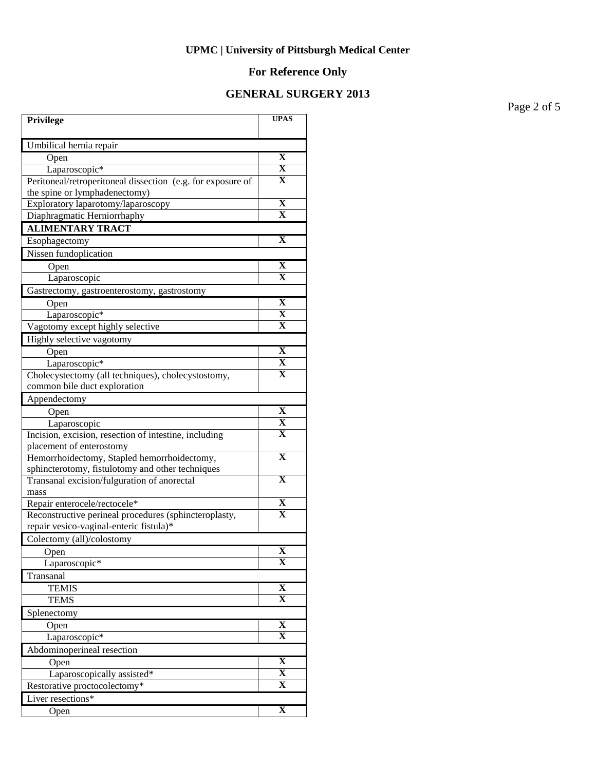# **For Reference Only**

## **GENERAL SURGERY 2013**

Page 2 of 5

| Privilege                                                   | <b>UPAS</b>             |
|-------------------------------------------------------------|-------------------------|
| Umbilical hernia repair                                     |                         |
| Open                                                        | $\mathbf X$             |
| Laparoscopic*                                               | X                       |
| Peritoneal/retroperitoneal dissection (e.g. for exposure of | X                       |
| the spine or lymphadenectomy)                               |                         |
| Exploratory laparotomy/laparoscopy                          | X                       |
| Diaphragmatic Herniorrhaphy                                 | X                       |
| <b>ALIMENTARY TRACT</b>                                     |                         |
| Esophagectomy                                               | X                       |
| Nissen fundoplication                                       |                         |
| Open                                                        | X                       |
| Laparoscopic                                                | X                       |
| Gastrectomy, gastroenterostomy, gastrostomy                 |                         |
| Open                                                        | $\mathbf X$             |
| Laparoscopic*                                               | X                       |
| Vagotomy except highly selective                            | x                       |
| Highly selective vagotomy                                   |                         |
| Open                                                        | X                       |
| Laparoscopic*                                               | X                       |
| Cholecystectomy (all techniques), cholecystostomy,          | Х                       |
| common bile duct exploration                                |                         |
| Appendectomy                                                |                         |
| Open                                                        | $\mathbf X$             |
| Laparoscopic                                                | X                       |
| Incision, excision, resection of intestine, including       | X                       |
| placement of enterostomy                                    |                         |
| Hemorrhoidectomy, Stapled hemorrhoidectomy,                 | $\overline{\textbf{X}}$ |
| sphincterotomy, fistulotomy and other techniques            |                         |
| Transanal excision/fulguration of anorectal                 | X                       |
| mass<br>Repair enterocele/rectocele*                        | X                       |
| Reconstructive perineal procedures (sphincteroplasty,       | X                       |
| repair vesico-vaginal-enteric fistula)*                     |                         |
| Colectomy (all)/colostomy                                   |                         |
| Open                                                        | $\mathbf X$             |
| Laparoscopic*                                               | X                       |
| Transanal                                                   |                         |
| <b>TEMIS</b>                                                | $\mathbf X$             |
| <b>TEMS</b>                                                 | X                       |
| Splenectomy                                                 |                         |
| Open                                                        | X                       |
| Laparoscopic*                                               | $\overline{\textbf{X}}$ |
| Abdominoperineal resection                                  |                         |
| Open                                                        | $\mathbf X$             |
| Laparoscopically assisted*                                  | $\overline{\mathbf{X}}$ |
| Restorative proctocolectomy*                                | $\overline{\mathbf{X}}$ |
| Liver resections*                                           |                         |
| Open                                                        | $\mathbf X$             |
|                                                             |                         |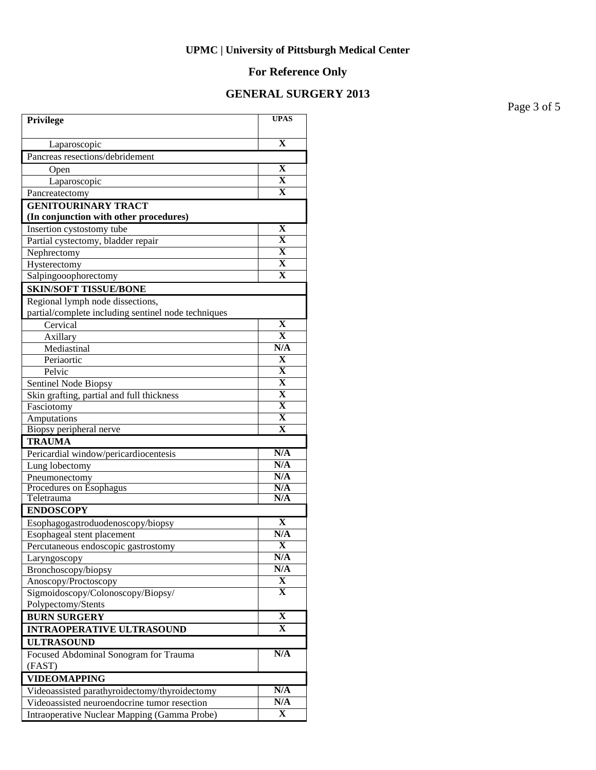# **For Reference Only**

## **GENERAL SURGERY 2013**

Page 3 of 5

| Privilege                                           | <b>UPAS</b>                            |
|-----------------------------------------------------|----------------------------------------|
| Laparoscopic                                        | $\mathbf X$                            |
| Pancreas resections/debridement                     |                                        |
| Open                                                | X                                      |
| Laparoscopic                                        | $\overline{\mathbf{X}}$                |
| Pancreatectomy                                      | $\mathbf X$                            |
| <b>GENITOURINARY TRACT</b>                          |                                        |
| (In conjunction with other procedures)              |                                        |
| Insertion cystostomy tube                           | X                                      |
| Partial cystectomy, bladder repair                  | $\overline{\mathbf{X}}$                |
| Nephrectomy                                         | $\overline{\mathbf{X}}$                |
| Hysterectomy                                        | $\overline{\mathbf{X}}$                |
| Salpingooophorectomy                                | $\overline{\mathbf{X}}$                |
| <b>SKIN/SOFT TISSUE/BONE</b>                        |                                        |
| Regional lymph node dissections,                    |                                        |
| partial/complete including sentinel node techniques |                                        |
| Cervical                                            | $\overline{\mathbf{X}}$                |
| Axillary                                            | $\mathbf X$                            |
| Mediastinal                                         | N/A                                    |
| Periaortic                                          | X                                      |
| Pelvic                                              | X                                      |
| Sentinel Node Biopsy                                | $\mathbf X$<br>$\overline{\mathbf{X}}$ |
| Skin grafting, partial and full thickness           | $\overline{\mathbf{X}}$                |
| Fasciotomy<br>Amputations                           | $\mathbf X$                            |
| Biopsy peripheral nerve                             | $\mathbf X$                            |
| <b>TRAUMA</b>                                       |                                        |
| Pericardial window/pericardiocentesis               | N/A                                    |
| Lung lobectomy                                      | N/A                                    |
| Pneumonectomy                                       | N/A                                    |
| Procedures on Esophagus                             | N/A                                    |
| Teletrauma                                          | N/A                                    |
| <b>ENDOSCOPY</b>                                    |                                        |
| Esophagogastroduodenoscopy/biopsy                   | $\mathbf X$                            |
| Esophageal stent placement                          | N/A                                    |
| Percutaneous endoscopic gastrostomy                 | $\overline{\mathbf{X}}$                |
| Laryngoscopy                                        | N/A                                    |
| Bronchoscopy/biopsy                                 | N/A                                    |
| Anoscopy/Proctoscopy                                | $\overline{\mathbf{X}}$                |
| Sigmoidoscopy/Colonoscopy/Biopsy/                   | X                                      |
| Polypectomy/Stents                                  | $\overline{\mathbf{X}}$                |
| <b>BURN SURGERY</b>                                 | $\mathbf X$                            |
| <b>INTRAOPERATIVE ULTRASOUND</b>                    |                                        |
| <b>ULTRASOUND</b>                                   |                                        |
| Focused Abdominal Sonogram for Trauma<br>(FAST)     | N/A                                    |
| <b>VIDEOMAPPING</b>                                 |                                        |
| Videoassisted parathyroidectomy/thyroidectomy       | N/A                                    |
| Videoassisted neuroendocrine tumor resection        | N/A                                    |
| Intraoperative Nuclear Mapping (Gamma Probe)        | X                                      |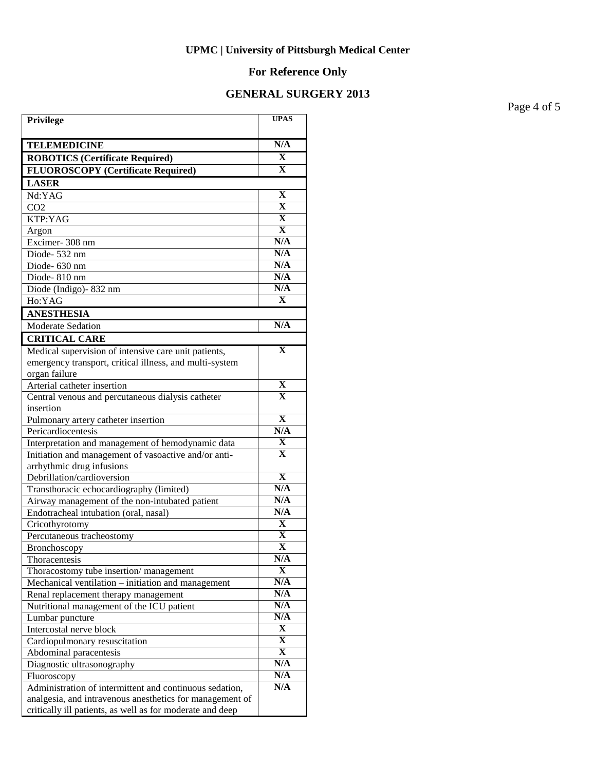# **For Reference Only**

## **GENERAL SURGERY 2013**

Page 4 of 5

| Privilege                                                                                  | <b>UPAS</b>             |
|--------------------------------------------------------------------------------------------|-------------------------|
| <b>TELEMEDICINE</b>                                                                        | N/A                     |
| <b>ROBOTICS (Certificate Required)</b>                                                     | $\mathbf X$             |
| <b>FLUOROSCOPY</b> (Certificate Required)                                                  | $\mathbf X$             |
| <b>LASER</b>                                                                               |                         |
| Nd:YAG                                                                                     | X                       |
| CO <sub>2</sub>                                                                            | $\mathbf X$             |
| KTP:YAG                                                                                    | $\overline{\mathbf{X}}$ |
| Argon                                                                                      | $\overline{\mathbf{X}}$ |
| Excimer-308 nm                                                                             | N/A                     |
| Diode-532 nm                                                                               | N/A                     |
| Diode- 630 nm                                                                              | N/A                     |
| $\overline{D}$ iode-810 nm                                                                 | N/A                     |
| Diode (Indigo)-832 nm                                                                      | N/A                     |
| Ho:YAG                                                                                     | $\mathbf X$             |
| <b>ANESTHESIA</b>                                                                          |                         |
| Moderate Sedation                                                                          | N/A                     |
| <b>CRITICAL CARE</b>                                                                       |                         |
| Medical supervision of intensive care unit patients,                                       | $\mathbf X$             |
| emergency transport, critical illness, and multi-system                                    |                         |
| organ failure                                                                              |                         |
| Arterial catheter insertion                                                                | X                       |
| Central venous and percutaneous dialysis catheter                                          | X                       |
| insertion                                                                                  |                         |
| Pulmonary artery catheter insertion                                                        | $\overline{\mathbf{X}}$ |
| Pericardiocentesis                                                                         | N/A                     |
| Interpretation and management of hemodynamic data                                          | X                       |
| Initiation and management of vasoactive and/or anti-                                       | X                       |
| arrhythmic drug infusions<br>Debrillation/cardioversion                                    | $\mathbf X$             |
|                                                                                            | N/A                     |
| Transthoracic echocardiography (limited)<br>Airway management of the non-intubated patient | N/A                     |
| Endotracheal intubation (oral, nasal)                                                      | N/A                     |
| Cricothyrotomy                                                                             | X                       |
| Percutaneous tracheostomy                                                                  | X                       |
| Bronchoscopy                                                                               | $\overline{\mathbf{X}}$ |
| Thoracentesis                                                                              | N/A                     |
| Thoracostomy tube insertion/management                                                     | X                       |
| Mechanical ventilation - initiation and management                                         | N/A                     |
| Renal replacement therapy management                                                       | N/A                     |
| Nutritional management of the ICU patient                                                  | N/A                     |
| Lumbar puncture                                                                            | N/A                     |
| Intercostal nerve block                                                                    | X                       |
| Cardiopulmonary resuscitation                                                              | $\overline{\mathbf{X}}$ |
| Abdominal paracentesis                                                                     | $\overline{\mathbf{X}}$ |
| Diagnostic ultrasonography                                                                 | N/A                     |
| Fluoroscopy                                                                                | N/A                     |
| Administration of intermittent and continuous sedation,                                    | N/A                     |
| analgesia, and intravenous anesthetics for management of                                   |                         |
| critically ill patients, as well as for moderate and deep                                  |                         |